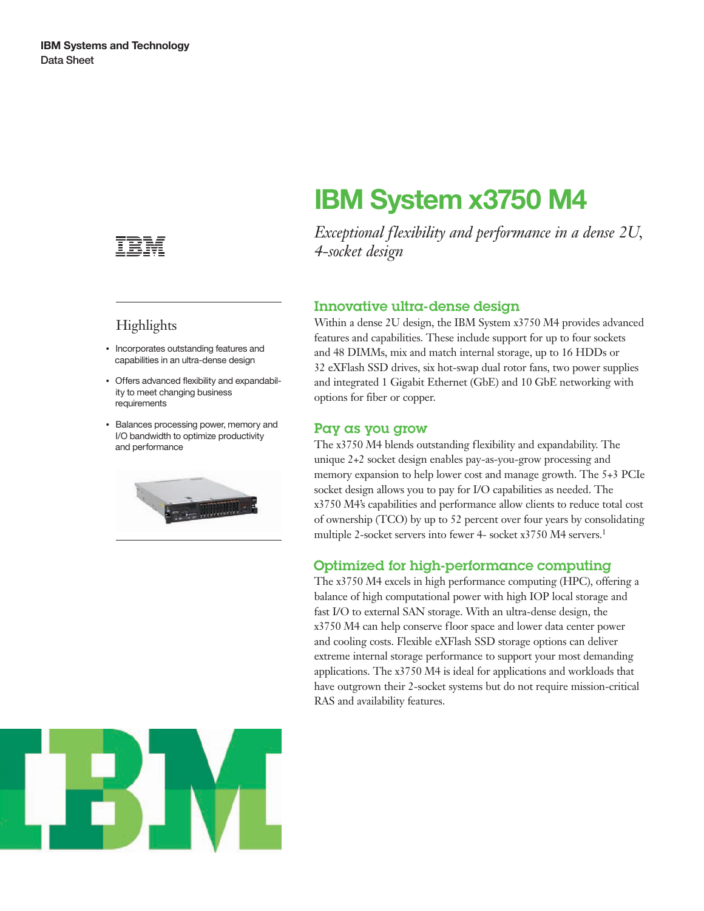

# **Highlights**

- Incorporates outstanding features and capabilities in an ultra-dense design
- Offers advanced flexibility and expandability to meet changing business requirements
- Balances processing power, memory and I/O bandwidth to optimize productivity and performance



# **IBM System x3750 M4**

*Exceptional flexibility and performance in a dense 2U, 4-socket design*

# Innovative ultra-dense design

Within a dense 2U design, the IBM System x3750 M4 provides advanced features and capabilities. These include support for up to four sockets and 48 DIMMs, mix and match internal storage, up to 16 HDDs or 32 eXFlash SSD drives, six hot-swap dual rotor fans, two power supplies and integrated 1 Gigabit Ethernet (GbE) and 10 GbE networking with options for fiber or copper.

#### Pay as you grow

The x3750 M4 blends outstanding flexibility and expandability. The unique 2+2 socket design enables pay-as-you-grow processing and memory expansion to help lower cost and manage growth. The 5+3 PCIe socket design allows you to pay for I/O capabilities as needed. The x3750 M4's capabilities and performance allow clients to reduce total cost of ownership (TCO) by up to 52 percent over four years by consolidating multiple 2-socket servers into fewer 4- socket x3750 M4 servers.<sup>1</sup>

# Optimized for high-performance computing

The x3750 M4 excels in high performance computing (HPC), offering a balance of high computational power with high IOP local storage and fast I/O to external SAN storage. With an ultra-dense design, the x3750 M4 can help conserve floor space and lower data center power and cooling costs. Flexible eXFlash SSD storage options can deliver extreme internal storage performance to support your most demanding applications. The x3750 M4 is ideal for applications and workloads that have outgrown their 2-socket systems but do not require mission-critical RAS and availability features.